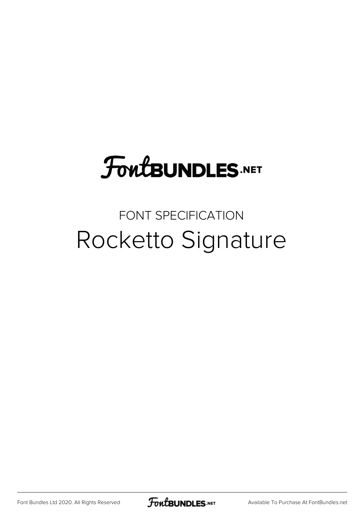## **FoutBUNDLES.NET**

## FONT SPECIFICATION Rocketto Signature

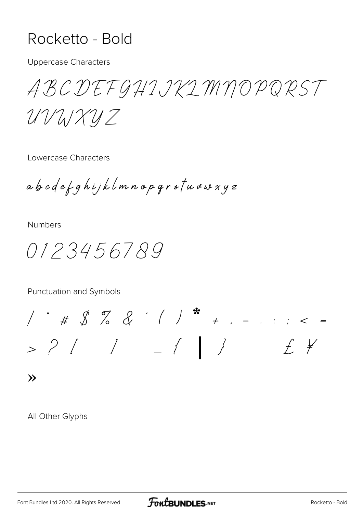## Rocketto - Bold

**Uppercase Characters** 

ABCDEFGHIJKIMNOPQRST

UVUXUZ

Lowercase Characters

abcdefghijklmnopgrstuvwxyz

**Numbers** 

0123456789

Punctuation and Symbols

 $1 * # 8 % &2 * 1 * + ... = * * *$  $>$   $2$   $\left($   $\right)$   $=$   $\left($   $\right)$  $f \neq$ 

 $\lambda$ 

All Other Glyphs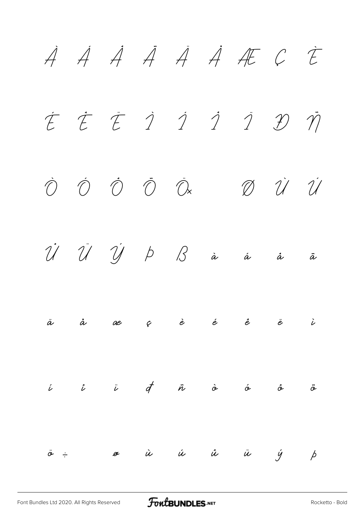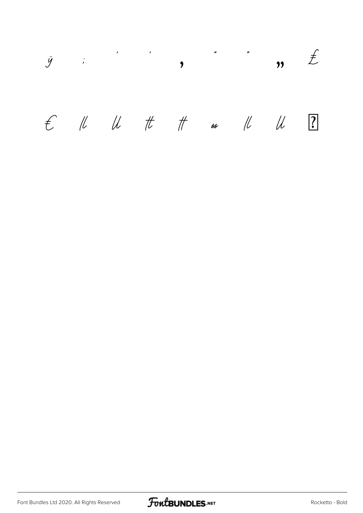

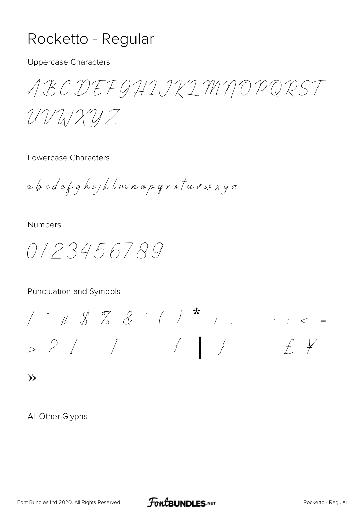## Rocketto - Regular

**Uppercase Characters** 

ABCDEFGHIJKIMNOPQRST

UVUXUZ

Lowercase Characters

abcdefghijklmnopgrstuvwxyz

**Numbers** 

0123456789

Punctuation and Symbols

 $1'$  " # \$ % & ' ( ) \* + , - . . ; < =  $>$   $?$   $/$   $/$   $\{$   $\}$  $f \neq$ 

 $\lambda$ 

All Other Glyphs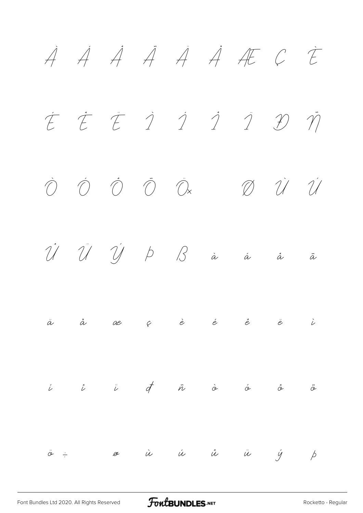